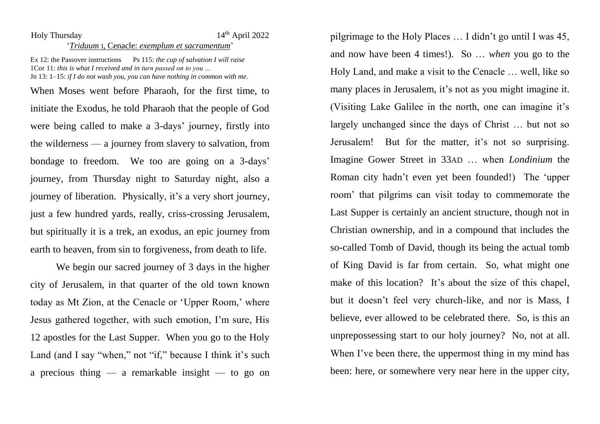## Holy Thursday 14<sup>th</sup> April 2022

## '*Triduum* I, Cenacle: *exemplum et sacramentum*'

Ex 12: the Passover instructions Ps 115: *the cup of salvation I will raise* 1Cor 11: *this is what I received and in turn passed on to you …* Jn 13: 1–15: *if I do not wash you, you can have nothing in common with me.*

When Moses went before Pharaoh, for the first time, to initiate the Exodus, he told Pharaoh that the people of God were being called to make a 3-days' journey, firstly into the wilderness — a journey from slavery to salvation, from bondage to freedom. We too are going on a 3-days' journey, from Thursday night to Saturday night, also a journey of liberation. Physically, it's a very short journey, just a few hundred vards, really, criss-crossing Jerusalem, but spiritually it is a trek, an exodus, an epic journey from earth to heaven, from sin to forgiveness, from death to life.

We begin our sacred journey of 3 days in the higher city of Jerusalem, in that quarter of the old town known today as Mt Zion, at the Cenacle or 'Upper Room,' where Jesus gathered together, with such emotion, I'm sure, His 12 apostles for the Last Supper. When you go to the Holy Land (and I say "when," not "if," because I think it's such a precious thing — a remarkable insight — to go on pilgrimage to the Holy Places … I didn't go until I was 45, and now have been 4 times!). So … *when* you go to the Holy Land, and make a visit to the Cenacle … well, like so many places in Jerusalem, it's not as you might imagine it. (Visiting Lake Galilee in the north, one can imagine it's largely unchanged since the days of Christ … but not so Jerusalem! But for the matter, it's not so surprising. Imagine Gower Street in 33AD … when *Londinium* the Roman city hadn't even yet been founded!) The 'upper room' that pilgrims can visit today to commemorate the Last Supper is certainly an ancient structure, though not in Christian ownership, and in a compound that includes the so-called Tomb of David, though its being the actual tomb of King David is far from certain. So, what might one make of this location? It's about the size of this chapel, but it doesn't feel very church-like, and nor is Mass, I believe, ever allowed to be celebrated there. So, is this an unprepossessing start to our holy journey? No, not at all. When I've been there, the uppermost thing in my mind has been: here, or somewhere very near here in the upper city,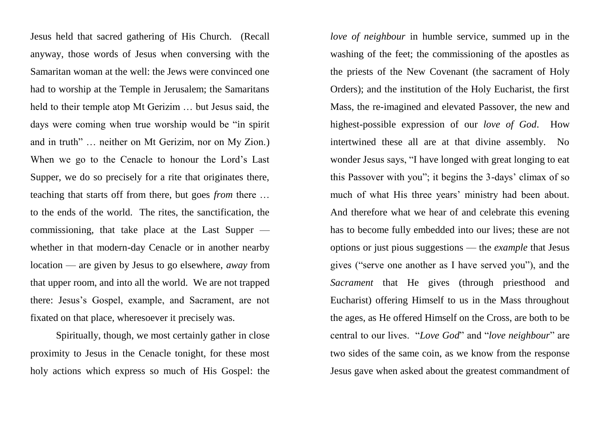Jesus held that sacred gathering of His Church. (Recall anyway, those words of Jesus when conversing with the Samaritan woman at the well: the Jews were convinced one had to worship at the Temple in Jerusalem; the Samaritans held to their temple atop Mt Gerizim … but Jesus said, the days were coming when true worship would be "in spirit and in truth" … neither on Mt Gerizim, nor on My Zion.) When we go to the Cenacle to honour the Lord's Last Supper, we do so precisely for a rite that originates there, teaching that starts off from there, but goes *from* there … to the ends of the world. The rites, the sanctification, the commissioning, that take place at the Last Supper whether in that modern-day Cenacle or in another nearby location — are given by Jesus to go elsewhere, *away* from that upper room, and into all the world. We are not trapped there: Jesus's Gospel, example, and Sacrament, are not fixated on that place, wheresoever it precisely was.

Spiritually, though, we most certainly gather in close proximity to Jesus in the Cenacle tonight, for these most holy actions which express so much of His Gospel: the

*love of neighbour* in humble service, summed up in the washing of the feet; the commissioning of the apostles as the priests of the New Covenant (the sacrament of Holy Orders); and the institution of the Holy Eucharist, the first Mass, the re-imagined and elevated Passover, the new and highest-possible expression of our *love of God*. How intertwined these all are at that divine assembly. No wonder Jesus says, "I have longed with great longing to eat this Passover with you"; it begins the 3-days' climax of so much of what His three years' ministry had been about. And therefore what we hear of and celebrate this evening has to become fully embedded into our lives; these are not options or just pious suggestions — the *example* that Jesus gives ("serve one another as I have served you"), and the *Sacrament* that He gives (through priesthood and Eucharist) offering Himself to us in the Mass throughout the ages, as He offered Himself on the Cross, are both to be central to our lives. "*Love God*" and "*love neighbour*" are two sides of the same coin, as we know from the response Jesus gave when asked about the greatest commandment of